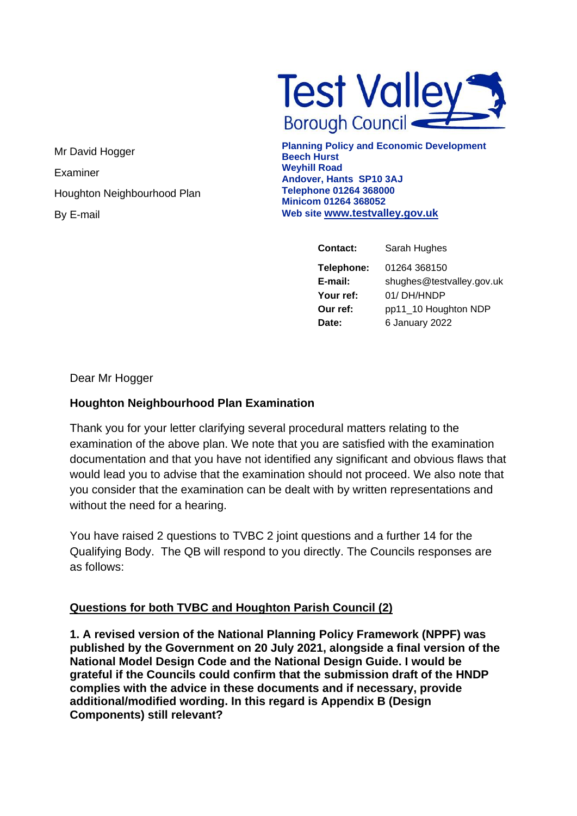**Test Valley** 

Mr David Hogger Examiner Houghton Neighbourhood Plan By E-mail

**Planning Policy and Economic Development Beech Hurst Weyhill Road Andover, Hants SP10 3AJ Telephone 01264 368000 Minicom 01264 368052 Web site [www.testvalley.gov.uk](http://www.testvalley.gov.uk/)**

| <b>Contact:</b> | Sarah Hughes              |
|-----------------|---------------------------|
| Telephone:      | 01264 368150              |
| E-mail:         | shughes@testvalley.gov.uk |
| Your ref:       | 01/DH/HNDP                |
| Our ref:        | pp11_10 Houghton NDP      |
| Date:           | 6 January 2022            |

Dear Mr Hogger

## **Houghton Neighbourhood Plan Examination**

Thank you for your letter clarifying several procedural matters relating to the examination of the above plan. We note that you are satisfied with the examination documentation and that you have not identified any significant and obvious flaws that would lead you to advise that the examination should not proceed. We also note that you consider that the examination can be dealt with by written representations and without the need for a hearing.

You have raised 2 questions to TVBC 2 joint questions and a further 14 for the Qualifying Body. The QB will respond to you directly. The Councils responses are as follows:

## **Questions for both TVBC and Houghton Parish Council (2)**

**1. A revised version of the National Planning Policy Framework (NPPF) was published by the Government on 20 July 2021, alongside a final version of the National Model Design Code and the National Design Guide. I would be grateful if the Councils could confirm that the submission draft of the HNDP complies with the advice in these documents and if necessary, provide additional/modified wording. In this regard is Appendix B (Design Components) still relevant?**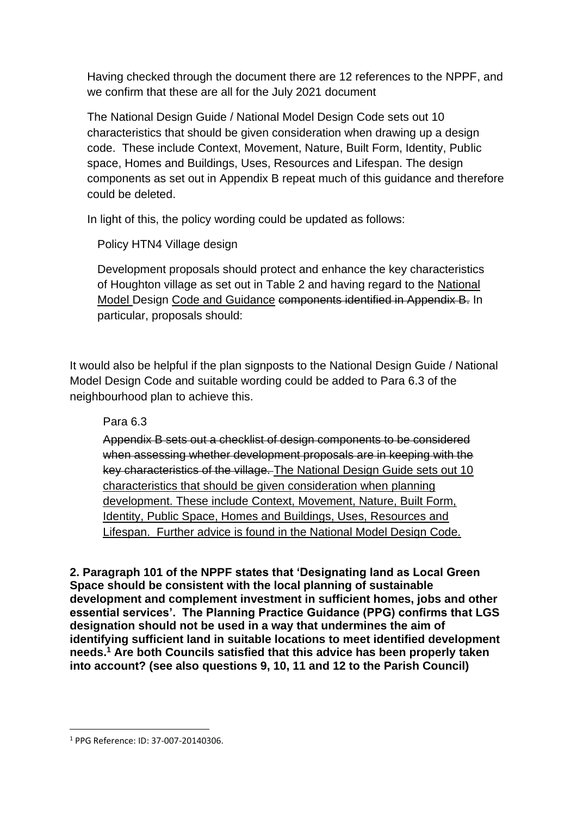Having checked through the document there are 12 references to the NPPF, and we confirm that these are all for the July 2021 document

The National Design Guide / National Model Design Code sets out 10 characteristics that should be given consideration when drawing up a design code. These include Context, Movement, Nature, Built Form, Identity, Public space, Homes and Buildings, Uses, Resources and Lifespan. The design components as set out in Appendix B repeat much of this guidance and therefore could be deleted.

In light of this, the policy wording could be updated as follows:

Policy HTN4 Village design

Development proposals should protect and enhance the key characteristics of Houghton village as set out in Table 2 and having regard to the National Model Design Code and Guidance components identified in Appendix B. In particular, proposals should:

It would also be helpful if the plan signposts to the National Design Guide / National Model Design Code and suitable wording could be added to Para 6.3 of the neighbourhood plan to achieve this.

Para 6.3

Appendix B sets out a checklist of design components to be considered when assessing whether development proposals are in keeping with the key characteristics of the village. The National Design Guide sets out 10 characteristics that should be given consideration when planning development. These include Context, Movement, Nature, Built Form, Identity, Public Space, Homes and Buildings, Uses, Resources and Lifespan. Further advice is found in the National Model Design Code.

**2. Paragraph 101 of the NPPF states that 'Designating land as Local Green Space should be consistent with the local planning of sustainable development and complement investment in sufficient homes, jobs and other essential services'. The Planning Practice Guidance (PPG) confirms that LGS designation should not be used in a way that undermines the aim of identifying sufficient land in suitable locations to meet identified development needs.<sup>1</sup> Are both Councils satisfied that this advice has been properly taken into account? (see also questions 9, 10, 11 and 12 to the Parish Council)** 

<sup>1</sup> PPG Reference: ID: 37-007-20140306.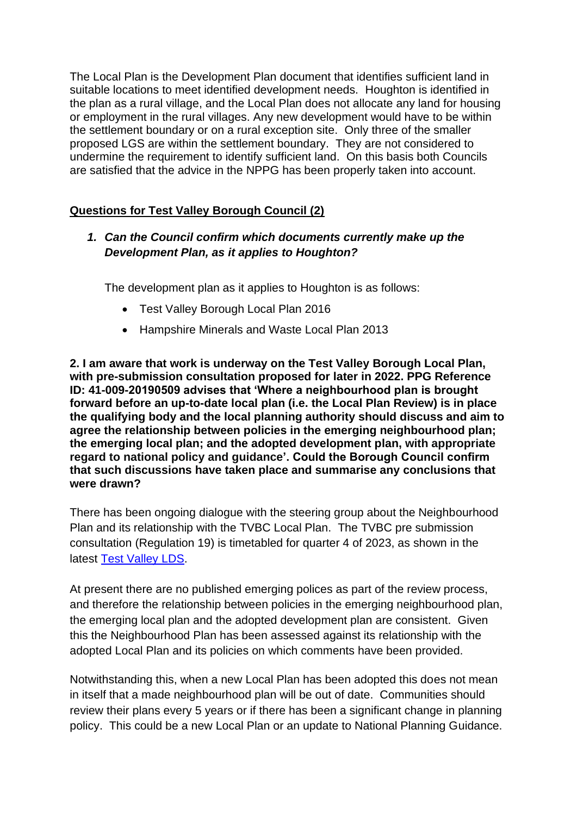The Local Plan is the Development Plan document that identifies sufficient land in suitable locations to meet identified development needs. Houghton is identified in the plan as a rural village, and the Local Plan does not allocate any land for housing or employment in the rural villages. Any new development would have to be within the settlement boundary or on a rural exception site. Only three of the smaller proposed LGS are within the settlement boundary. They are not considered to undermine the requirement to identify sufficient land. On this basis both Councils are satisfied that the advice in the NPPG has been properly taken into account.

## **Questions for Test Valley Borough Council (2)**

## *1. Can the Council confirm which documents currently make up the Development Plan, as it applies to Houghton?*

The development plan as it applies to Houghton is as follows:

- Test Valley Borough Local Plan 2016
- Hampshire Minerals and Waste Local Plan 2013

**2. I am aware that work is underway on the Test Valley Borough Local Plan, with pre-submission consultation proposed for later in 2022. PPG Reference ID: 41-009-20190509 advises that 'Where a neighbourhood plan is brought forward before an up-to-date local plan (i.e. the Local Plan Review) is in place the qualifying body and the local planning authority should discuss and aim to agree the relationship between policies in the emerging neighbourhood plan; the emerging local plan; and the adopted development plan, with appropriate regard to national policy and guidance'. Could the Borough Council confirm that such discussions have taken place and summarise any conclusions that were drawn?**

There has been ongoing dialogue with the steering group about the Neighbourhood Plan and its relationship with the TVBC Local Plan. The TVBC pre submission consultation (Regulation 19) is timetabled for quarter 4 of 2023, as shown in the latest [Test Valley LDS.](https://democracy.testvalley.gov.uk/documents/s17344/Test%20Valley%20LDS%20-%20Annex.pdf)

At present there are no published emerging polices as part of the review process, and therefore the relationship between policies in the emerging neighbourhood plan, the emerging local plan and the adopted development plan are consistent. Given this the Neighbourhood Plan has been assessed against its relationship with the adopted Local Plan and its policies on which comments have been provided.

Notwithstanding this, when a new Local Plan has been adopted this does not mean in itself that a made neighbourhood plan will be out of date. Communities should review their plans every 5 years or if there has been a significant change in planning policy. This could be a new Local Plan or an update to National Planning Guidance.